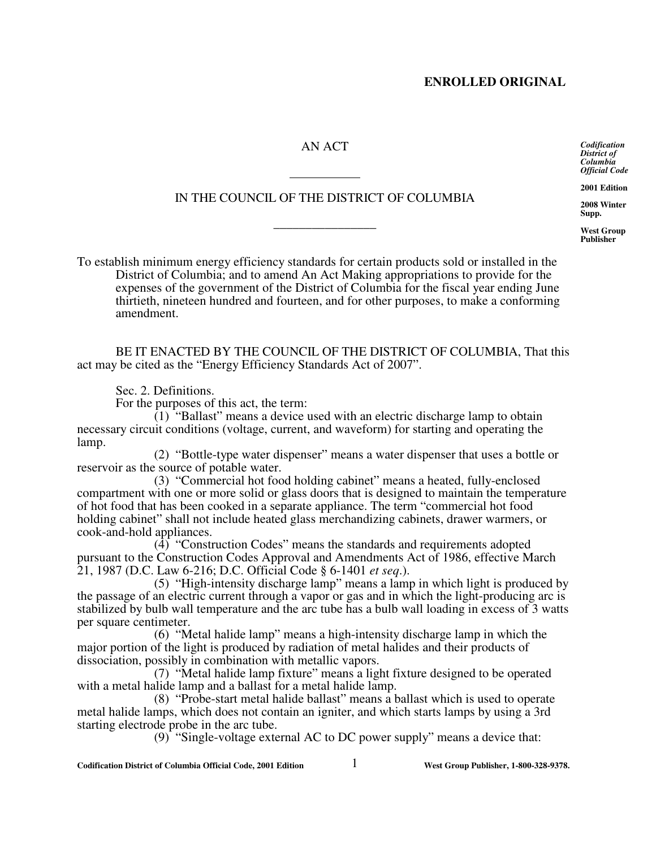#### AN ACT

 $\overline{a}$ 

#### IN THE COUNCIL OF THE DISTRICT OF COLUMBIA

\_\_\_\_\_\_\_\_\_\_\_\_\_\_\_\_

To establish minimum energy efficiency standards for certain products sold or installed in the District of Columbia; and to amend An Act Making appropriations to provide for the expenses of the government of the District of Columbia for the fiscal year ending June thirtieth, nineteen hundred and fourteen, and for other purposes, to make a conforming amendment.

BE IT ENACTED BY THE COUNCIL OF THE DISTRICT OF COLUMBIA, That this act may be cited as the "Energy Efficiency Standards Act of 2007".

Sec. 2. Definitions.

For the purposes of this act, the term:

(1) "Ballast" means a device used with an electric discharge lamp to obtain necessary circuit conditions (voltage, current, and waveform) for starting and operating the lamp.

(2) "Bottle-type water dispenser" means a water dispenser that uses a bottle or reservoir as the source of potable water.

(3) "Commercial hot food holding cabinet" means a heated, fully-enclosed compartment with one or more solid or glass doors that is designed to maintain the temperature of hot food that has been cooked in a separate appliance. The term "commercial hot food holding cabinet" shall not include heated glass merchandizing cabinets, drawer warmers, or cook-and-hold appliances.

(4) "Construction Codes" means the standards and requirements adopted pursuant to the Construction Codes Approval and Amendments Act of 1986, effective March 21, 1987 (D.C. Law 6-216; D.C. Official Code § 6-1401 *et seq*.).

(5) "High-intensity discharge lamp" means a lamp in which light is produced by the passage of an electric current through a vapor or gas and in which the light-producing arc is stabilized by bulb wall temperature and the arc tube has a bulb wall loading in excess of 3 watts per square centimeter.

(6) "Metal halide lamp" means a high-intensity discharge lamp in which the major portion of the light is produced by radiation of metal halides and their products of dissociation, possibly in combination with metallic vapors.

(7) "Metal halide lamp fixture" means a light fixture designed to be operated with a metal halide lamp and a ballast for a metal halide lamp.

(8) "Probe-start metal halide ballast" means a ballast which is used to operate metal halide lamps, which does not contain an igniter, and which starts lamps by using a 3rd starting electrode probe in the arc tube.

(9) "Single-voltage external AC to DC power supply" means a device that:

*Codification District of Columbia Official Code*

**2001 Edition**

**2008 Winter Supp.**

**West Group Publisher**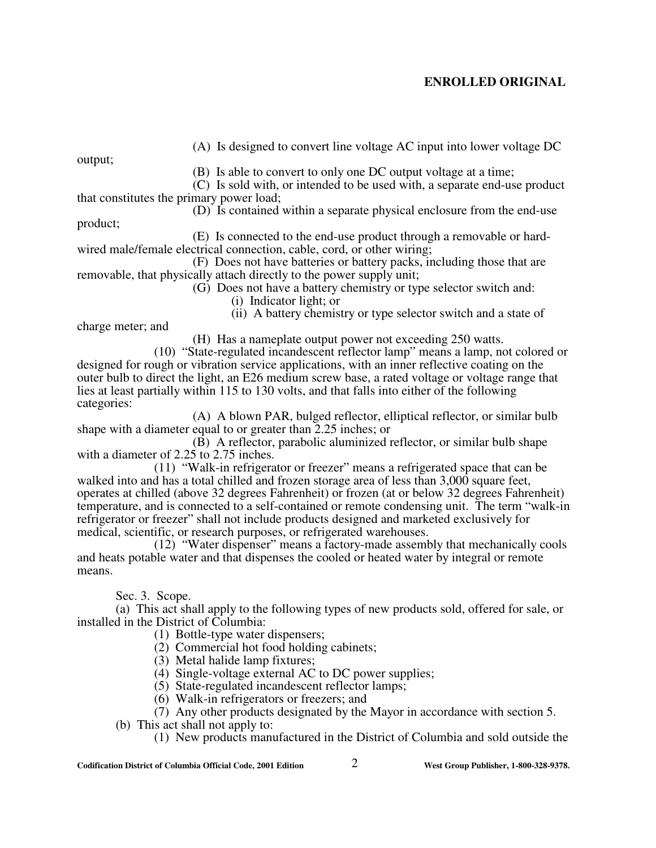(A) Is designed to convert line voltage AC input into lower voltage DC

output;

(B) Is able to convert to only one DC output voltage at a time;

(C) Is sold with, or intended to be used with, a separate end-use product that constitutes the primary power load;

(D) Is contained within a separate physical enclosure from the end-use product;

(E) Is connected to the end-use product through a removable or hardwired male/female electrical connection, cable, cord, or other wiring;

(F) Does not have batteries or battery packs, including those that are removable, that physically attach directly to the power supply unit;

(G) Does not have a battery chemistry or type selector switch and:

(i) Indicator light; or

(ii) A battery chemistry or type selector switch and a state of

charge meter; and

(H) Has a nameplate output power not exceeding 250 watts.

(10) "State-regulated incandescent reflector lamp" means a lamp, not colored or designed for rough or vibration service applications, with an inner reflective coating on the outer bulb to direct the light, an E26 medium screw base, a rated voltage or voltage range that lies at least partially within 115 to 130 volts, and that falls into either of the following categories:

(A) A blown PAR, bulged reflector, elliptical reflector, or similar bulb shape with a diameter equal to or greater than 2.25 inches; or

(B) A reflector, parabolic aluminized reflector, or similar bulb shape with a diameter of 2.25 to 2.75 inches.

(11) "Walk-in refrigerator or freezer" means a refrigerated space that can be walked into and has a total chilled and frozen storage area of less than 3,000 square feet, operates at chilled (above 32 degrees Fahrenheit) or frozen (at or below 32 degrees Fahrenheit) temperature, and is connected to a self-contained or remote condensing unit. The term "walk-in refrigerator or freezer" shall not include products designed and marketed exclusively for medical, scientific, or research purposes, or refrigerated warehouses.

(12) "Water dispenser" means a factory-made assembly that mechanically cools and heats potable water and that dispenses the cooled or heated water by integral or remote means.

Sec. 3. Scope.

(a) This act shall apply to the following types of new products sold, offered for sale, or installed in the District of Columbia:

(1) Bottle-type water dispensers;

(2) Commercial hot food holding cabinets;

(3) Metal halide lamp fixtures;

(4) Single-voltage external AC to DC power supplies;

(5) State-regulated incandescent reflector lamps;

(6) Walk-in refrigerators or freezers; and

(7) Any other products designated by the Mayor in accordance with section 5.

(b) This act shall not apply to:

(1) New products manufactured in the District of Columbia and sold outside the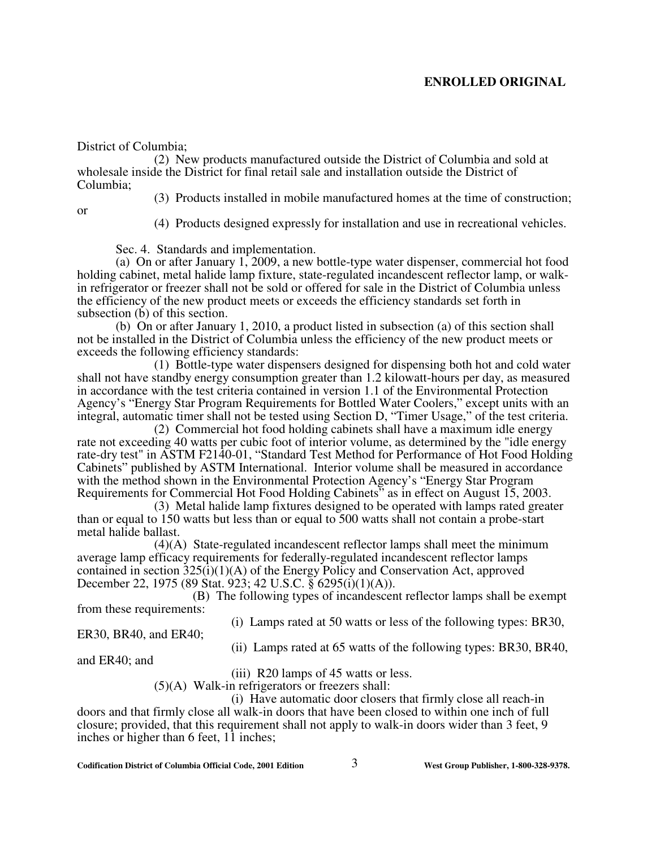#### District of Columbia;

(2) New products manufactured outside the District of Columbia and sold at wholesale inside the District for final retail sale and installation outside the District of Columbia;

or

(3) Products installed in mobile manufactured homes at the time of construction; (4) Products designed expressly for installation and use in recreational vehicles.

Sec. 4. Standards and implementation.

(a) On or after January 1, 2009, a new bottle-type water dispenser, commercial hot food holding cabinet, metal halide lamp fixture, state-regulated incandescent reflector lamp, or walkin refrigerator or freezer shall not be sold or offered for sale in the District of Columbia unless the efficiency of the new product meets or exceeds the efficiency standards set forth in subsection (b) of this section.

(b) On or after January 1, 2010, a product listed in subsection (a) of this section shall not be installed in the District of Columbia unless the efficiency of the new product meets or exceeds the following efficiency standards:

(1) Bottle-type water dispensers designed for dispensing both hot and cold water shall not have standby energy consumption greater than 1.2 kilowatt-hours per day, as measured in accordance with the test criteria contained in version 1.1 of the Environmental Protection Agency's "Energy Star Program Requirements for Bottled Water Coolers," except units with an integral, automatic timer shall not be tested using Section D, "Timer Usage," of the test criteria.

(2) Commercial hot food holding cabinets shall have a maximum idle energy rate not exceeding 40 watts per cubic foot of interior volume, as determined by the "idle energy rate-dry test" in ASTM F2140-01, "Standard Test Method for Performance of Hot Food Holding Cabinets" published by ASTM International. Interior volume shall be measured in accordance with the method shown in the Environmental Protection Agency's "Energy Star Program Requirements for Commercial Hot Food Holding Cabinets" as in effect on August 15, 2003.

(3) Metal halide lamp fixtures designed to be operated with lamps rated greater than or equal to 150 watts but less than or equal to 500 watts shall not contain a probe-start metal halide ballast.

(4)(A) State-regulated incandescent reflector lamps shall meet the minimum average lamp efficacy requirements for federally-regulated incandescent reflector lamps contained in section 325(i)(1)(A) of the Energy Policy and Conservation Act, approved December 22, 1975 (89 Stat. 923; 42 U.S.C. § 6295(i)(1)(A)).

(B) The following types of incandescent reflector lamps shall be exempt from these requirements:

ER30, BR40, and ER40;

(i) Lamps rated at 50 watts or less of the following types: BR30,

and ER40; and

(ii) Lamps rated at 65 watts of the following types: BR30, BR40,

(iii) R20 lamps of 45 watts or less.

(5)(A) Walk-in refrigerators or freezers shall:

(i) Have automatic door closers that firmly close all reach-in doors and that firmly close all walk-in doors that have been closed to within one inch of full closure; provided, that this requirement shall not apply to walk-in doors wider than 3 feet, 9 inches or higher than 6 feet, 11 inches;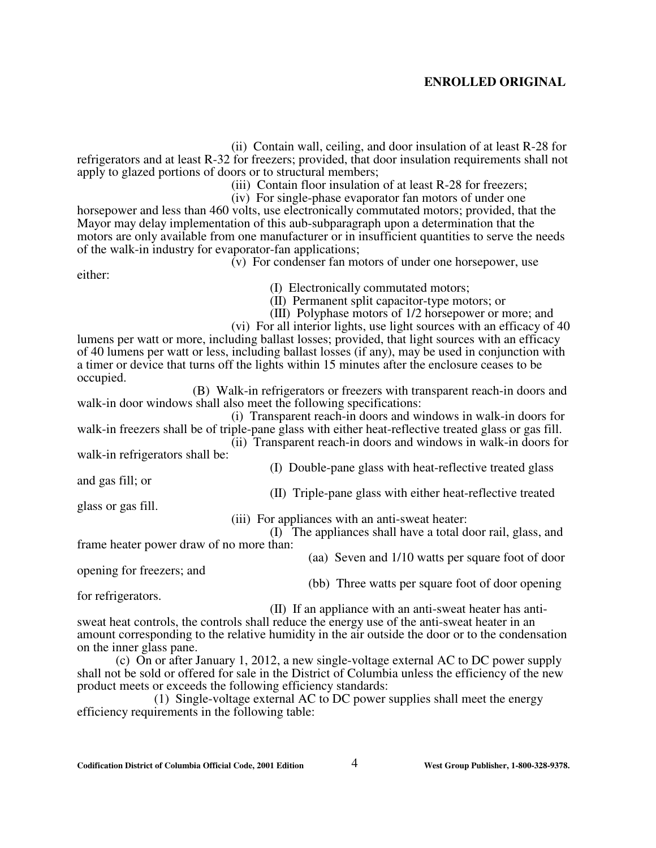(ii) Contain wall, ceiling, and door insulation of at least R-28 for refrigerators and at least R-32 for freezers; provided, that door insulation requirements shall not apply to glazed portions of doors or to structural members;

(iii) Contain floor insulation of at least R-28 for freezers;

(iv) For single-phase evaporator fan motors of under one horsepower and less than 460 volts, use electronically commutated motors; provided, that the Mayor may delay implementation of this aub-subparagraph upon a determination that the motors are only available from one manufacturer or in insufficient quantities to serve the needs of the walk-in industry for evaporator-fan applications;

(v) For condenser fan motors of under one horsepower, use

either:

(I) Electronically commutated motors;

(II) Permanent split capacitor-type motors; or

(III) Polyphase motors of 1/2 horsepower or more; and

(vi) For all interior lights, use light sources with an efficacy of 40 lumens per watt or more, including ballast losses; provided, that light sources with an efficacy of 40 lumens per watt or less, including ballast losses (if any), may be used in conjunction with a timer or device that turns off the lights within 15 minutes after the enclosure ceases to be occupied.

(B) Walk-in refrigerators or freezers with transparent reach-in doors and walk-in door windows shall also meet the following specifications:

(i) Transparent reach-in doors and windows in walk-in doors for walk-in freezers shall be of triple-pane glass with either heat-reflective treated glass or gas fill.

(ii) Transparent reach-in doors and windows in walk-in doors for walk-in refrigerators shall be:

and gas fill; or

(I) Double-pane glass with heat-reflective treated glass (II) Triple-pane glass with either heat-reflective treated

glass or gas fill.

(iii) For appliances with an anti-sweat heater:

(I) The appliances shall have a total door rail, glass, and

frame heater power draw of no more than:

(aa) Seven and 1/10 watts per square foot of door

opening for freezers; and

(bb) Three watts per square foot of door opening

for refrigerators.

(II) If an appliance with an anti-sweat heater has anti-

sweat heat controls, the controls shall reduce the energy use of the anti-sweat heater in an amount corresponding to the relative humidity in the air outside the door or to the condensation on the inner glass pane.

(c) On or after January 1, 2012, a new single-voltage external AC to DC power supply shall not be sold or offered for sale in the District of Columbia unless the efficiency of the new product meets or exceeds the following efficiency standards:

(1) Single-voltage external AC to DC power supplies shall meet the energy efficiency requirements in the following table: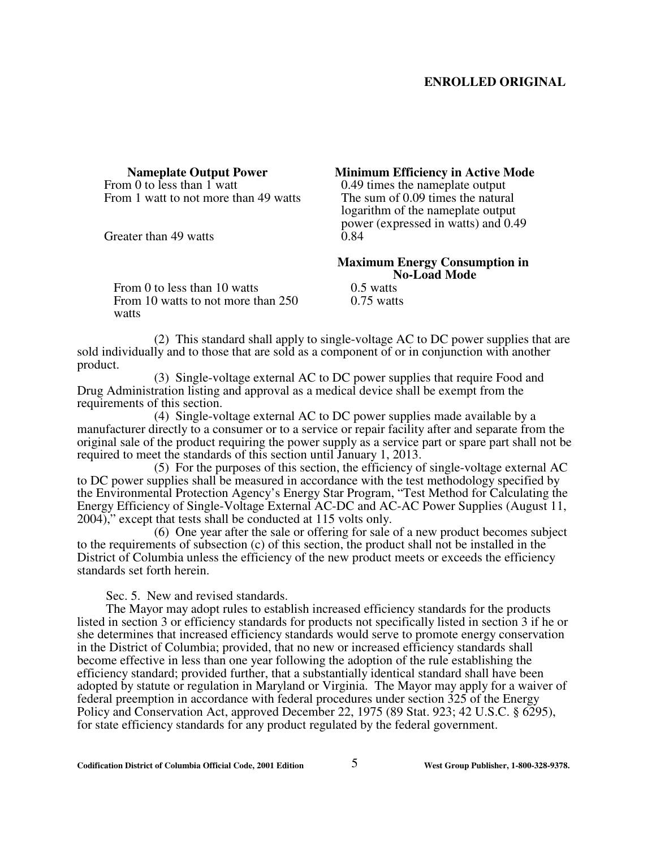From 1 watt to not more than 49 watts The sum of 0.09 times the natural

Greater than 49 watts 0.84

# **Nameplate Output Power Minimum Efficiency in Active Mode**<br>From 0 to less than 1 watt 0.49 times the nameplate output

0.49 times the nameplate output logarithm of the nameplate output power (expressed in watts) and 0.49

## **Maximum Energy Consumption in No-Load Mode** 0.5 watts

From 0 to less than  $10$  watts From 10 watts to not more than 250 watts

0.75 watts

(2) This standard shall apply to single-voltage AC to DC power supplies that are sold individually and to those that are sold as a component of or in conjunction with another product.

(3) Single-voltage external AC to DC power supplies that require Food and Drug Administration listing and approval as a medical device shall be exempt from the requirements of this section.

(4) Single-voltage external AC to DC power supplies made available by a manufacturer directly to a consumer or to a service or repair facility after and separate from the original sale of the product requiring the power supply as a service part or spare part shall not be required to meet the standards of this section until January 1, 2013.

(5) For the purposes of this section, the efficiency of single-voltage external AC to DC power supplies shall be measured in accordance with the test methodology specified by the Environmental Protection Agency's Energy Star Program, "Test Method for Calculating the Energy Efficiency of Single-Voltage External AC-DC and AC-AC Power Supplies (August 11, 2004)," except that tests shall be conducted at 115 volts only.

(6) One year after the sale or offering for sale of a new product becomes subject to the requirements of subsection (c) of this section, the product shall not be installed in the District of Columbia unless the efficiency of the new product meets or exceeds the efficiency standards set forth herein.

Sec. 5. New and revised standards.

The Mayor may adopt rules to establish increased efficiency standards for the products listed in section 3 or efficiency standards for products not specifically listed in section 3 if he or she determines that increased efficiency standards would serve to promote energy conservation in the District of Columbia; provided, that no new or increased efficiency standards shall become effective in less than one year following the adoption of the rule establishing the efficiency standard; provided further, that a substantially identical standard shall have been adopted by statute or regulation in Maryland or Virginia. The Mayor may apply for a waiver of federal preemption in accordance with federal procedures under section 325 of the Energy Policy and Conservation Act, approved December 22, 1975 (89 Stat. 923; 42 U.S.C. § 6295), for state efficiency standards for any product regulated by the federal government.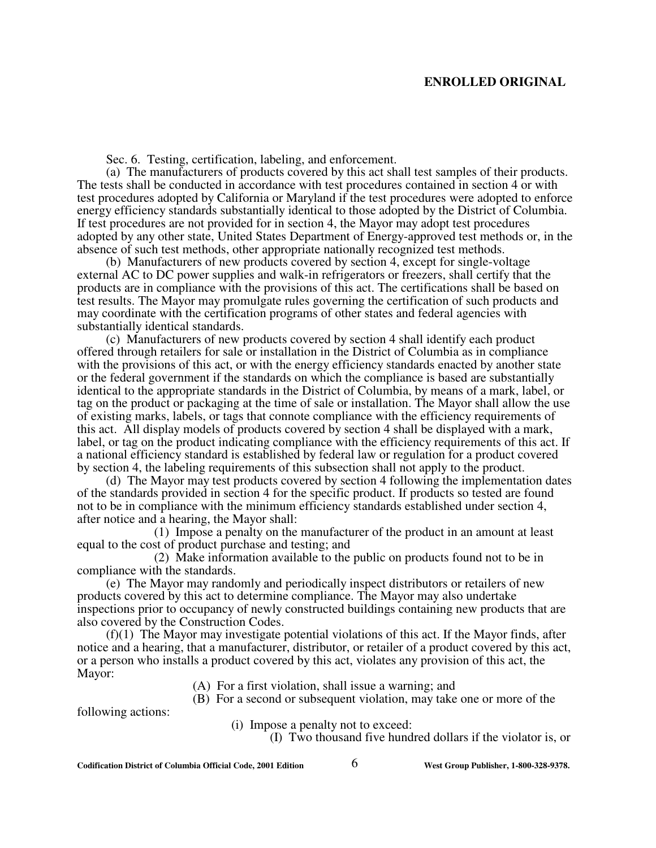Sec. 6. Testing, certification, labeling, and enforcement.

(a) The manufacturers of products covered by this act shall test samples of their products. The tests shall be conducted in accordance with test procedures contained in section 4 or with test procedures adopted by California or Maryland if the test procedures were adopted to enforce energy efficiency standards substantially identical to those adopted by the District of Columbia. If test procedures are not provided for in section 4, the Mayor may adopt test procedures adopted by any other state, United States Department of Energy-approved test methods or, in the absence of such test methods, other appropriate nationally recognized test methods.

(b) Manufacturers of new products covered by section 4, except for single-voltage external AC to DC power supplies and walk-in refrigerators or freezers, shall certify that the products are in compliance with the provisions of this act. The certifications shall be based on test results. The Mayor may promulgate rules governing the certification of such products and may coordinate with the certification programs of other states and federal agencies with substantially identical standards.

(c) Manufacturers of new products covered by section 4 shall identify each product offered through retailers for sale or installation in the District of Columbia as in compliance with the provisions of this act, or with the energy efficiency standards enacted by another state or the federal government if the standards on which the compliance is based are substantially identical to the appropriate standards in the District of Columbia, by means of a mark, label, or tag on the product or packaging at the time of sale or installation. The Mayor shall allow the use of existing marks, labels, or tags that connote compliance with the efficiency requirements of this act. All display models of products covered by section 4 shall be displayed with a mark, label, or tag on the product indicating compliance with the efficiency requirements of this act. If a national efficiency standard is established by federal law or regulation for a product covered by section 4, the labeling requirements of this subsection shall not apply to the product.

(d) The Mayor may test products covered by section 4 following the implementation dates of the standards provided in section 4 for the specific product. If products so tested are found not to be in compliance with the minimum efficiency standards established under section 4, after notice and a hearing, the Mayor shall:

(1) Impose a penalty on the manufacturer of the product in an amount at least equal to the cost of product purchase and testing; and

(2) Make information available to the public on products found not to be in compliance with the standards.

(e) The Mayor may randomly and periodically inspect distributors or retailers of new products covered by this act to determine compliance. The Mayor may also undertake inspections prior to occupancy of newly constructed buildings containing new products that are also covered by the Construction Codes.

(f)(1) The Mayor may investigate potential violations of this act. If the Mayor finds, after notice and a hearing, that a manufacturer, distributor, or retailer of a product covered by this act, or a person who installs a product covered by this act, violates any provision of this act, the Mayor:

(A) For a first violation, shall issue a warning; and

(B) For a second or subsequent violation, may take one or more of the

following actions:

(i) Impose a penalty not to exceed:

(I) Two thousand five hundred dollars if the violator is, or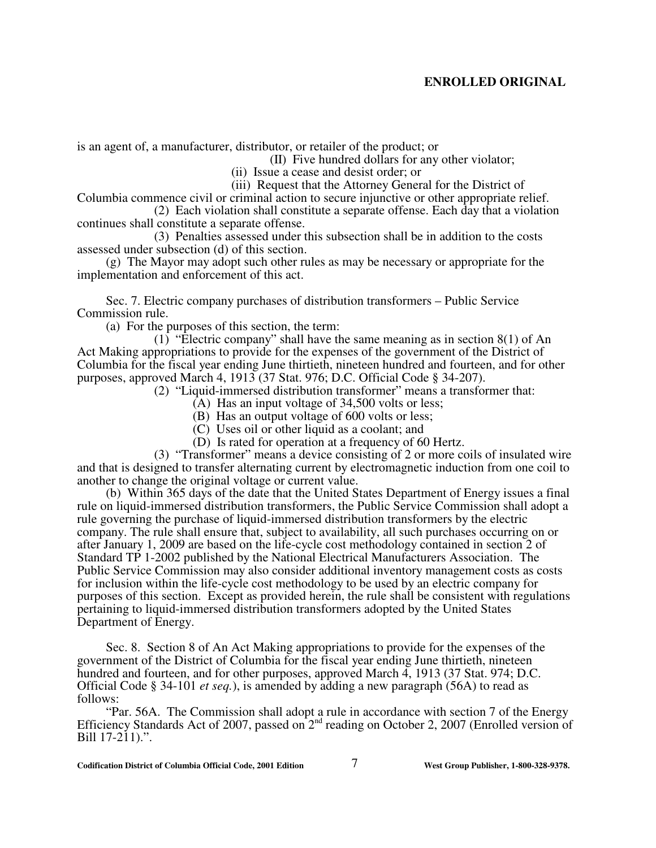is an agent of, a manufacturer, distributor, or retailer of the product; or

(II) Five hundred dollars for any other violator;

(ii) Issue a cease and desist order; or

(iii) Request that the Attorney General for the District of

Columbia commence civil or criminal action to secure injunctive or other appropriate relief. (2) Each violation shall constitute a separate offense. Each day that a violation

continues shall constitute a separate offense.

(3) Penalties assessed under this subsection shall be in addition to the costs assessed under subsection (d) of this section.

(g) The Mayor may adopt such other rules as may be necessary or appropriate for the implementation and enforcement of this act.

Sec. 7. Electric company purchases of distribution transformers – Public Service Commission rule.

(a) For the purposes of this section, the term:

(1) "Electric company" shall have the same meaning as in section 8(1) of An Act Making appropriations to provide for the expenses of the government of the District of Columbia for the fiscal year ending June thirtieth, nineteen hundred and fourteen, and for other purposes, approved March 4, 1913 (37 Stat. 976; D.C. Official Code § 34-207).

(2) "Liquid-immersed distribution transformer" means a transformer that:

- (A) Has an input voltage of 34,500 volts or less;
- (B) Has an output voltage of 600 volts or less;

(C) Uses oil or other liquid as a coolant; and

(D) Is rated for operation at a frequency of 60 Hertz.

(3) "Transformer" means a device consisting of 2 or more coils of insulated wire and that is designed to transfer alternating current by electromagnetic induction from one coil to another to change the original voltage or current value.

(b) Within 365 days of the date that the United States Department of Energy issues a final rule on liquid-immersed distribution transformers, the Public Service Commission shall adopt a rule governing the purchase of liquid-immersed distribution transformers by the electric company. The rule shall ensure that, subject to availability, all such purchases occurring on or after January 1, 2009 are based on the life-cycle cost methodology contained in section 2 of Standard TP 1-2002 published by the National Electrical Manufacturers Association. The Public Service Commission may also consider additional inventory management costs as costs for inclusion within the life-cycle cost methodology to be used by an electric company for purposes of this section. Except as provided herein, the rule shall be consistent with regulations pertaining to liquid-immersed distribution transformers adopted by the United States Department of Energy.

Sec. 8. Section 8 of An Act Making appropriations to provide for the expenses of the government of the District of Columbia for the fiscal year ending June thirtieth, nineteen hundred and fourteen, and for other purposes, approved March 4, 1913 (37 Stat. 974; D.C. Official Code § 34-101 *et seq.*), is amended by adding a new paragraph (56A) to read as follows:

"Par. 56A. The Commission shall adopt a rule in accordance with section 7 of the Energy Efficiency Standards Act of 2007, passed on  $2<sup>nd</sup>$  reading on October 2, 2007 (Enrolled version of Bill 17-211).".